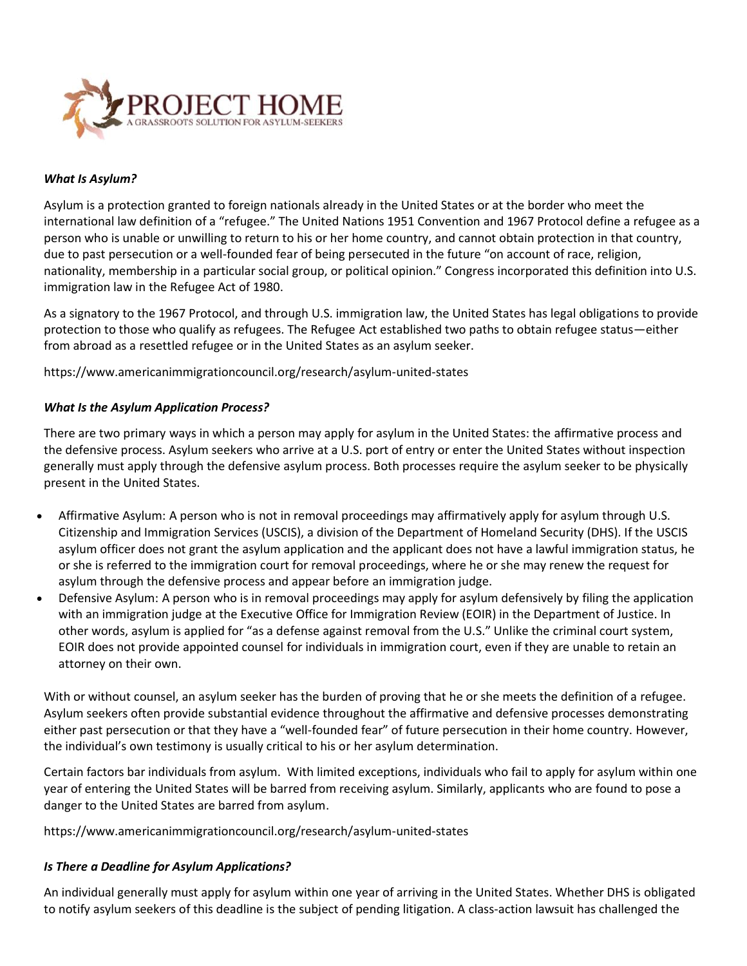

#### *What Is Asylum?*

Asylum is a protection granted to foreign nationals already in the United States or at the border who meet the international law definition of a "refugee." The [United Nations 1951 Convention](http://www.refworld.org/docid/3be01b964.html) and [1967 Protocol](http://www.refworld.org/docid/3be01b964.html) define a refugee as a person who is unable or unwilling to return to his or her home country, and cannot obtain protection in that country, due to past persecution or a well-founded fear of being persecuted in the future "on account of race, religion, nationality, membership in a particular social group, or political opinion." Congress incorporated this definition into U.S. immigration law in the Refugee Act of 1980.

As a signatory to the 1967 Protocol, and through U.S. immigration law, the United States has legal obligations to provide protection to those who qualify as refugees. The Refugee Act established two paths to obtain refugee status—either from abroad as a resettled refugee or in the United States as an asylum seeker.

<https://www.americanimmigrationcouncil.org/research/asylum-united-states>

#### *What Is the Asylum Application Process?*

There are two primary ways in which a person may apply for asylum in the United States: the affirmative process and the defensive process. Asylum seekers who arrive at a U.S. port of entry or enter the United States without inspection generally must apply through the defensive asylum process. Both processes require the asylum seeker to be physically present in the United States.

- Affirmative Asylum: A person who is not in removal proceedings may affirmatively apply for asylum through U.S. Citizenship and Immigration Services (USCIS), a division of the Department of Homeland Security (DHS). If the USCIS asylum officer does not grant the asylum application and the applicant does not have a lawful immigration status, he or she is referred to the immigration court for removal proceedings, where he or she may renew the request for asylum through the defensive process and appear before an immigration judge.
- Defensive Asylum: A person who is in removal proceedings may apply for asylum defensively by filing the application with an immigration judge at the Executive Office for Immigration Review (EOIR) in the Department of Justice. In other words, asylum is applied for "as a defense against removal from the U.S." Unlike the criminal court system, EOIR does not provide appointed counsel for individuals in immigration court, even if they are unable to retain an attorney on their own.

With or without counsel, an asylum seeker has the burden of proving that he or she meets the definition of a refugee. Asylum seekers often provide substantial evidence throughout the affirmative and defensive processes demonstrating either past persecution or that they have a "well-founded fear" of future persecution in their home country. However, the individual's own testimony is usually critical to his or her asylum determination.

Certain factors bar individuals from asylum. With limited exceptions, individuals who fail to apply for asylum within one year of entering the United States will be barred from receiving asylum. Similarly, applicants who are found to pose a danger to the United States are barred from asylum.

https://www.americanimmigrationcouncil.org/research/asylum-united-states

#### *Is There a Deadline for Asylum Applications?*

An individual generally must apply for asylum within one year of arriving in the United States. Whether DHS is obligated to notify asylum seekers of this deadline is the subject of pending litigation. A [class-action lawsuit](https://www.americanimmigrationcouncil.org/sites/default/files/mendez_rojas_v_johnson_faq.pdf) has challenged the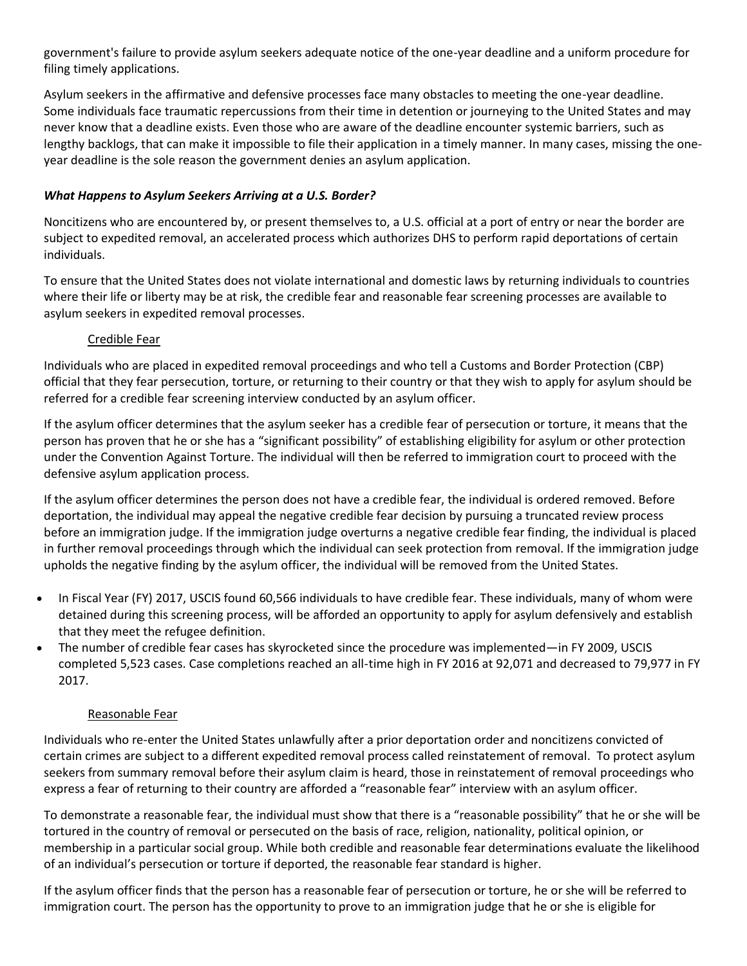government's failure to provide asylum seekers adequate notice of the one-year deadline and a uniform procedure for filing timely applications.

Asylum seekers in the affirmative and defensive processes face many obstacles to meeting the one-year deadline. Some [individuals face traumatic repercussions](https://www.americanimmigrationcouncil.org/research/expedited-removal-asylum-seekers) from their time in detention or journeying to the United States and may never know that a deadline exists. Even those who are aware of the deadline encounter systemic barriers, such as lengthy backlogs, that can make it impossible to file their application in a timely manner. In many cases, [missing the one](https://www.immigrantjustice.org/research-items/report-one-year-asylum-deadline-and-bia-no-protection-no-process)[year deadline](https://www.immigrantjustice.org/research-items/report-one-year-asylum-deadline-and-bia-no-protection-no-process) is the sole reason the government denies an asylum application.

### *What Happens to Asylum Seekers Arriving at a U.S. Border?*

Noncitizens who are encountered by, or present themselves to, a U.S. official at a port of entry or near the border are subject to expedited removal, an accelerated process which authorizes DHS to perform rapid deportations of certain individuals.

To ensure that the United States does not violate international and domestic laws by returning individuals to countries where their life or liberty may be at risk, the credible fear and reasonable fear screening processes are available to asylum seekers in expedited removal processes.

### Credible Fear

Individuals who are placed in expedited removal proceedings and who tell a Customs and Border Protection (CBP) official that they fear persecution, torture, or returning to their country or that they wish to apply for asylum should be referred for a credible fear screening interview conducted by an asylum officer.

If the asylum officer determines that the asylum seeker has a credible fear of persecution or torture, it means that the person has proven that he or she has a "significant possibility" of establishing eligibility for asylum or other protection under the Convention Against Torture. The individual will then be referred to immigration court to proceed with the defensive asylum application process.

If the asylum officer determines the person does not have a credible fear, the individual is ordered removed. Before deportation, the individual may appeal the negative credible fear decision by pursuing a truncated review process before an immigration judge. If the immigration judge overturns a negative credible fear finding, the individual is placed in further removal proceedings through which the individual can seek protection from removal. If the immigration judge upholds the negative finding by the asylum officer, the individual will be removed from the United States.

- In Fiscal Year (FY) 2017, [USCIS found 60,566 individuals](http://www.uscis.gov/sites/default/files/USCIS/Outreach/Upcoming%20National%20Engagements/PED_FY17_CFandRFstatsThru09302017.pdf) to have credible fear. These individuals, many of whom were detained during this screening process, will be afforded an opportunity to apply for asylum defensively and establish that they meet the refugee definition.
- The number of [credible fear cases has skyrocketed](https://www.uscis.gov/sites/default/files/USCIS/Outreach/Notes%20from%20Previous%20Engagements/PED_CredibleFearWorkloadReport.pdf) since the procedure was implemented—in FY 2009, USCIS completed 5,523 cases. Case completions reached an all-time high in FY 2016 at 92,071 and decreased to 79,977 in FY 2017.

#### Reasonable Fear

Individuals who re-enter the United States unlawfully after a prior deportation order and noncitizens convicted of certain crimes are subject to a different expedited removal process called reinstatement of removal. To protect asylum seekers from summary removal before their asylum claim is heard, those in reinstatement of removal proceedings who express a fear of returning to their country are afforded a "reasonable fear" interview with an asylum officer.

To demonstrate a reasonable fear, the individual must show that there is a "reasonable possibility" that he or she will be tortured in the country of removal or persecuted on the basis of race, religion, nationality, political opinion, or membership in a particular social group. While both credible and reasonable fear determinations evaluate the likelihood of an individual's persecution or torture if deported, the reasonable fear standard is higher.

If the asylum officer finds that the person has a reasonable fear of persecution or torture, he or she will be referred to immigration court. The person has the opportunity to prove to an immigration judge that he or she is eligible for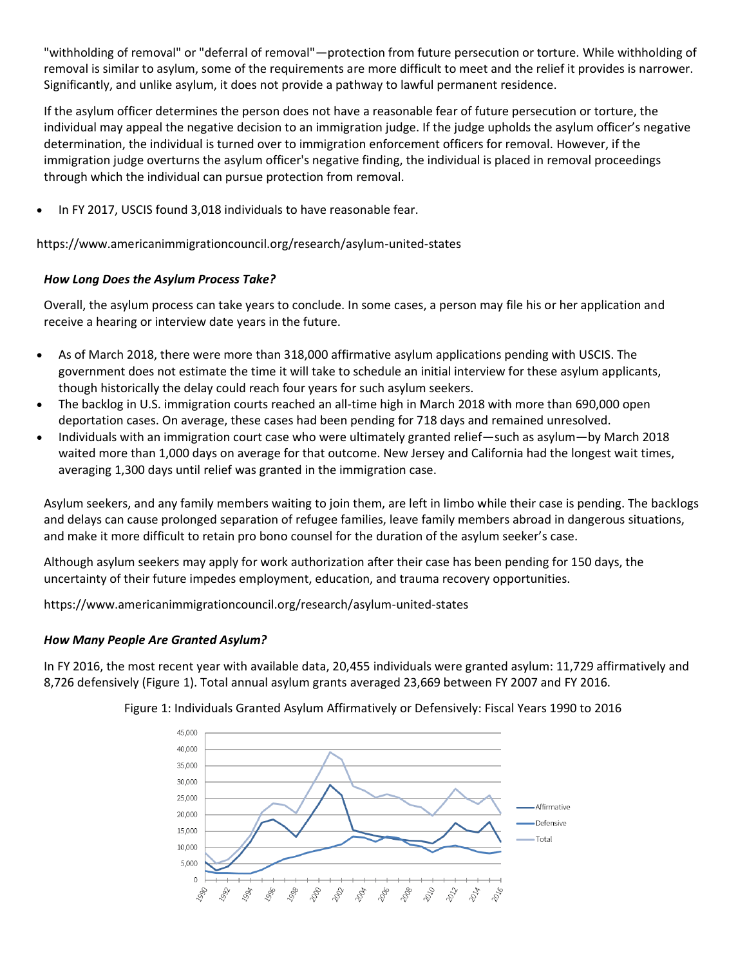"withholding of removal" or "deferral of removal"—protection from future persecution or torture. While withholding of removal is similar to asylum, some of the requirements are more difficult to meet and the relief it provides is narrower. Significantly, and unlike asylum, it does not provide a pathway to lawful permanent residence.

If the asylum officer determines the person does not have a reasonable fear of future persecution or torture, the individual may appeal the negative decision to an immigration judge. If the judge upholds the asylum officer's negative determination, the individual is turned over to immigration enforcement officers for removal. However, if the immigration judge overturns the asylum officer's negative finding, the individual is placed in removal proceedings through which the individual can pursue protection from removal.

In FY 2017, [USCIS found 3,018 individuals](http://www.uscis.gov/sites/default/files/USCIS/Outreach/Upcoming%20National%20Engagements/PED_FY17_CFandRFstatsThru09302017.pdf) to have reasonable fear.

<https://www.americanimmigrationcouncil.org/research/asylum-united-states>

# *How Long Does the Asylum Process Take?*

Overall, the asylum process can take years to conclude. In some cases, a person may file his or her application and receive a hearing or interview date years in the future.

- As of March 2018, there were more than 318,000 affirmative [asylum applications pending with USCIS.](https://www.uscis.gov/sites/default/files/USCIS/Outreach/Notes%20from%20Previous%20Engagements/PED_AsylumOfficeWorkloadMarch2018.pdf) The government does not estimate the time it will take to schedule an initial interview for these asylum applicants, though historically the delay could reach four years for such asylum seekers.
- The [backlog in U.S. immigration courts](http://trac.syr.edu/phptools/immigration/court_backlog/apprep_backlog.php) reached an all-time high in March 2018 with more than 690,000 open deportation cases. On average, these [cases had been pending](http://trac.syr.edu/phptools/immigration/court_backlog/) for 718 days and remained unresolved.
- Individuals with an immigration court case who were ultimately granted relief—such as asylum—by March 2018 waited more than 1,000 days on average for that outcome. New Jersey and California had the longest wait times, averaging 1,300 [days until relief was granted](http://trac.syr.edu/phptools/immigration/court_backlog/court_proctime_outcome.php) in the immigration case.

Asylum seekers, and any family members waiting to join them, are left in limbo while their case is pending. The backlogs and delays can cause prolonged separation of refugee families, leave family members abroad in dangerous situations, and make it more difficult to retain pro bono counsel for the duration of the asylum seeker's case.

Although asylum seekers may apply for work authorization after their case has been pending for 150 days, the uncertainty of their future impedes employment, education, and trauma recovery opportunities.

<https://www.americanimmigrationcouncil.org/research/asylum-united-states>

# *How Many People Are Granted Asylum?*

In FY 2016, the most recent year with available data, 20,455 [individuals were granted asylum:](https://www.dhs.gov/immigration-statistics/yearbook/2016/table16) 11,729 affirmatively and 8,726 defensively (Figure 1). Total annual asylum grants averaged 23,669 between FY 2007 and FY 2016.



Figure 1: Individuals Granted Asylum Affirmatively or Defensively: Fiscal Years 1990 to 2016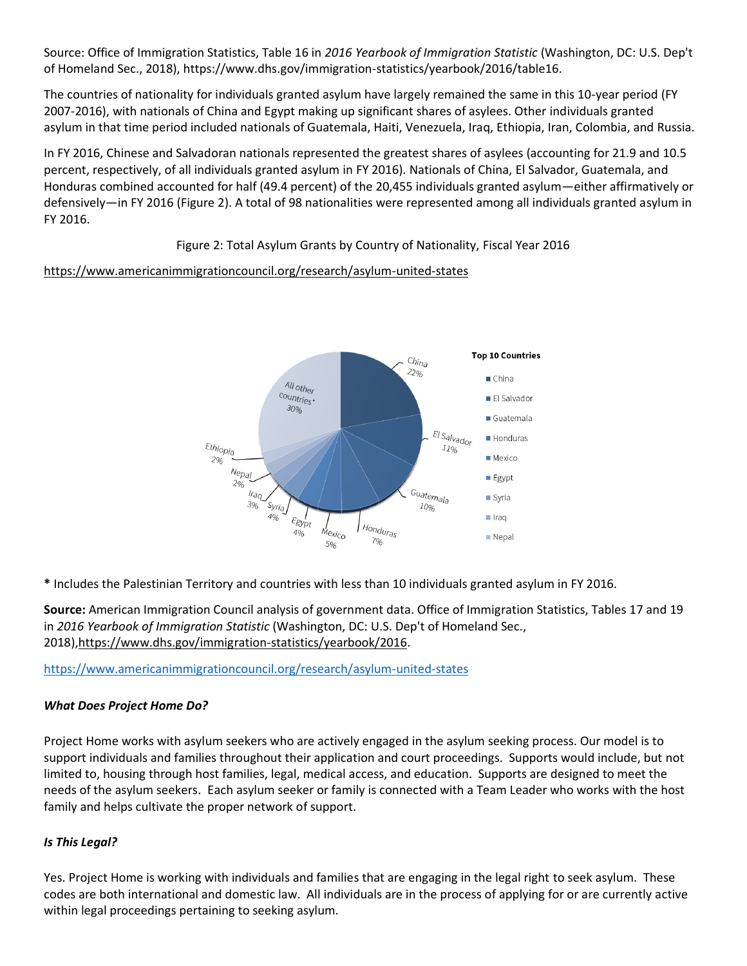Source: Office of Immigration Statistics, Table 16 in *2016 Yearbook of Immigration Statistic* (Washington, DC: U.S. Dep't of Homeland Sec., 2018), https://www.dhs.gov/immigration-statistics/yearbook/2016/table16.

The countries of nationality for individuals granted asylum have largely remained the same in this 10-year period (FY 2007-2016), with nationals of China and Egypt making up significant shares of asylees. Other individuals granted asylum in that time period included nationals of Guatemala, Haiti, Venezuela, Iraq, Ethiopia, Iran, Colombia, and Russia.

In FY 2016, Chinese and Salvadoran nationals represented the greatest shares of asylees (accounting for 21.9 and 10.5 percent, respectively, of all individuals granted asylum in FY 2016). Nationals of China, El Salvador, Guatemala, and Honduras combined accounted for half (49.4 percent) of the 20,455 individuals granted asylum—either affirmatively or defensively—in FY 2016 (Figure 2). A total of 98 nationalities were represented among all individuals granted asylum in FY 2016.

Figure 2: Total Asylum Grants by Country of Nationality, Fiscal Year 2016

# <https://www.americanimmigrationcouncil.org/research/asylum-united-states>



**\*** Includes the Palestinian Territory and countries with less than 10 individuals granted asylum in FY 2016.

**Source:** American Immigration Council analysis of government data. Office of Immigration Statistics, Tables 17 and 19 in *2016 Yearbook of Immigration Statistic* (Washington, DC: U.S. Dep't of Homeland Sec., 2018)[,https://www.dhs.gov/immigration-statistics/yearbook/2016.](https://www.dhs.gov/immigration-statistics/yearbook/2016)

<https://www.americanimmigrationcouncil.org/research/asylum-united-states>

# *What Does Project Home Do?*

Project Home works with asylum seekers who are actively engaged in the asylum seeking process. Our model is to support individuals and families throughout their application and court proceedings. Supports would include, but not limited to, housing through host families, legal, medical access, and education. Supports are designed to meet the needs of the asylum seekers. Each asylum seeker or family is connected with a Team Leader who works with the host family and helps cultivate the proper network of support.

# *Is This Legal?*

Yes. Project Home is working with individuals and families that are engaging in the legal right to seek asylum. These codes are both international and domestic law. All individuals are in the process of applying for or are currently active within legal proceedings pertaining to seeking asylum.